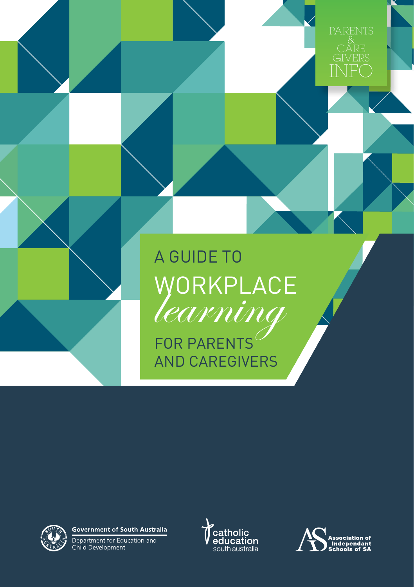A GUIDE TO WORKPLACE<br>*learning* FOR PARENTS AND CAREGIVERS



**Government of South Australia** 

Department for Education and<br>Child Development





INF

CARE GIVERS &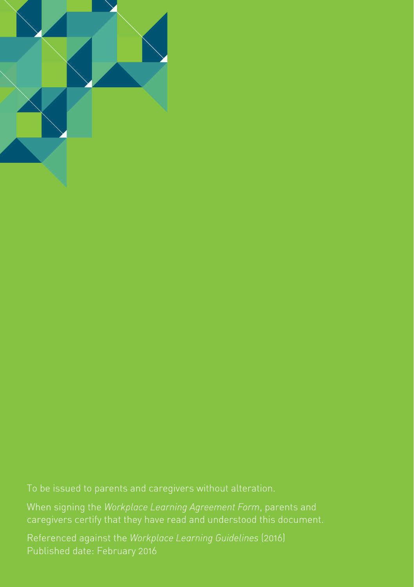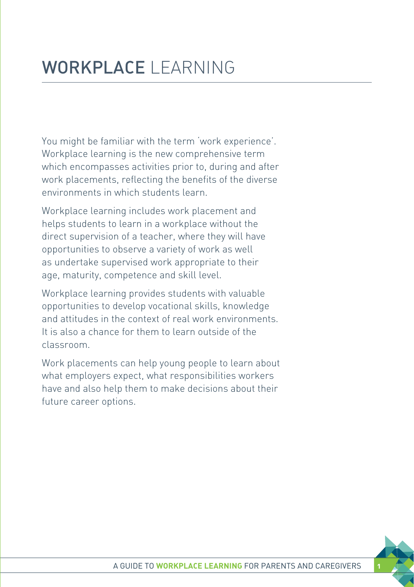You might be familiar with the term 'work experience'. Workplace learning is the new comprehensive term which encompasses activities prior to, during and after work placements, reflecting the benefits of the diverse environments in which students learn.

Workplace learning includes work placement and helps students to learn in a workplace without the direct supervision of a teacher, where they will have opportunities to observe a variety of work as well as undertake supervised work appropriate to their age, maturity, competence and skill level.

Workplace learning provides students with valuable opportunities to develop vocational skills, knowledge and attitudes in the context of real work environments. It is also a chance for them to learn outside of the classroom.

Work placements can help young people to learn about what employers expect, what responsibilities workers have and also help them to make decisions about their future career options.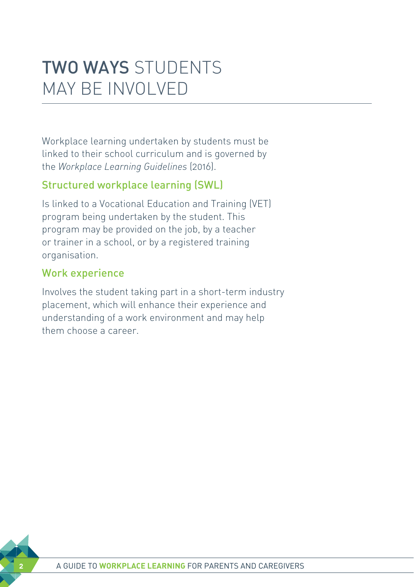### TWO WAYS STUDENTS MAY BE INVOLVED

Workplace learning undertaken by students must be linked to their school curriculum and is governed by the *Workplace Learning Guidelines* (2016).

#### Structured workplace learning (SWL)

Is linked to a Vocational Education and Training (VET) program being undertaken by the student. This program may be provided on the job, by a teacher or trainer in a school, or by a registered training organisation.

#### Work experience

Involves the student taking part in a short-term industry placement, which will enhance their experience and understanding of a work environment and may help them choose a career.

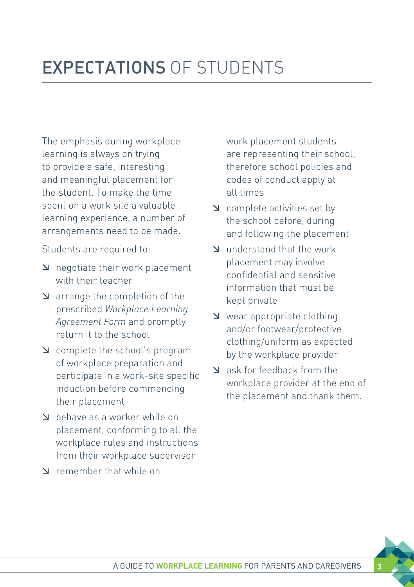The emphasis during workplace learning is always on trying to provide a safe, interesting and meaningful placement for the student. To make the time spent on a work site a valuable learning experience, a number of arrangements need to be made.

Students are required to:

- $\Delta$  negotiate their work placement with their teacher
- $\Delta$  arrange the completion of the prescribed *Workplace Learning Agreement Form* and promptly return it to the school
- æ complete the school's program of workplace preparation and participate in a work-site specific induction before commencing their placement
- behave as a worker while on placement, conforming to all the workplace rules and instructions from their workplace supervisor
- æ remember that while on

work placement students are representing their school, therefore school policies and codes of conduct apply at all times

- $\Delta$  complete activities set by the school before, during and following the placement
- æ understand that the work placement may involve confidential and sensitive information that must be kept private
- æ wear appropriate clothing and/or footwear/protective clothing/uniform as expected by the workplace provider
- æ ask for feedback from the workplace provider at the end of the placement and thank them.

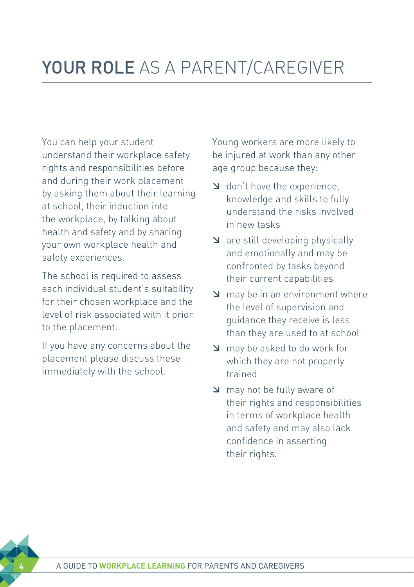## YOUR ROLE AS A PARENT/CAREGIVER

You can help your student understand their workplace safety rights and responsibilities before and during their work placement by asking them about their learning at school, their induction into the workplace, by talking about health and safety and by sharing your own workplace health and safety experiences.

The school is required to assess each individual student's suitability for their chosen workplace and the level of risk associated with it prior to the placement.

If you have any concerns about the placement please discuss these immediately with the school.

Young workers are more likely to be injured at work than any other age group because they:

- $\Delta$  don't have the experience, knowledge and skills to fully understand the risks involved in new tasks
- $\Delta$  are still developing physically and emotionally and may be confronted by tasks beyond their current capabilities
- $\Delta$  may be in an environment where the level of supervision and guidance they receive is less than they are used to at school
- æ may be asked to do work for which they are not properly trained
- **EX** may not be fully aware of their rights and responsibilities in terms of workplace health and safety and may also lack confidence in asserting their rights.

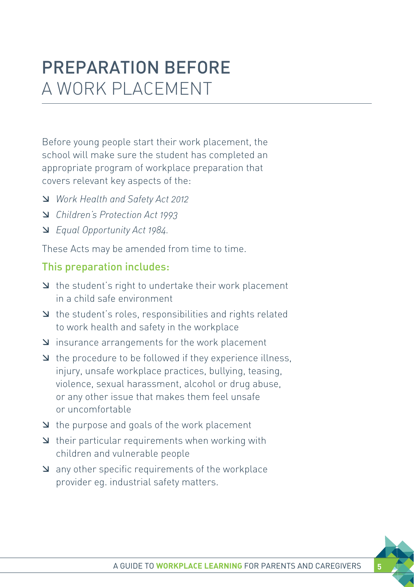### PREPARATION BEFORE A WORK PLACEMENT

Before young people start their work placement, the school will make sure the student has completed an appropriate program of workplace preparation that covers relevant key aspects of the:

- æ *Work Health and Safety Act 2012*
- æ *Children's Protection Act 1993*
- æ *Equal Opportunity Act 1984.*

These Acts may be amended from time to time.

#### This preparation includes:

- $\Delta$  the student's right to undertake their work placement in a child safe environment
- æ the student's roles, responsibilities and rights related to work health and safety in the workplace
- æ insurance arrangements for the work placement
- $\blacktriangleright$  the procedure to be followed if they experience illness, injury, unsafe workplace practices, bullying, teasing, violence, sexual harassment, alcohol or drug abuse, or any other issue that makes them feel unsafe or uncomfortable
- æ the purpose and goals of the work placement
- $\Delta$  their particular requirements when working with children and vulnerable people
- $\Delta$  any other specific requirements of the workplace provider eg. industrial safety matters.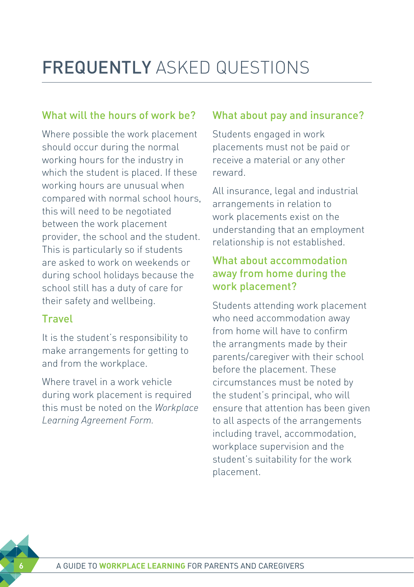# FREQUENTLY ASKED QUESTIONS

#### What will the hours of work be?

Where possible the work placement should occur during the normal working hours for the industry in which the student is placed. If these working hours are unusual when compared with normal school hours, this will need to be negotiated between the work placement provider, the school and the student. This is particularly so if students are asked to work on weekends or during school holidays because the school still has a duty of care for their safety and wellbeing.

#### Travel

It is the student's responsibility to make arrangements for getting to and from the workplace.

Where travel in a work vehicle during work placement is required this must be noted on the *Workplace Learning Agreement Form.*

#### What about pay and insurance?

Students engaged in work placements must not be paid or receive a material or any other reward.

All insurance, legal and industrial arrangements in relation to work placements exist on the understanding that an employment relationship is not established.

#### What about accommodation away from home during the work placement?

Students attending work placement who need accommodation away from home will have to confirm the arrangments made by their parents/caregiver with their school before the placement. These circumstances must be noted by the student's principal, who will ensure that attention has been given to all aspects of the arrangements including travel, accommodation, workplace supervision and the student's suitability for the work placement.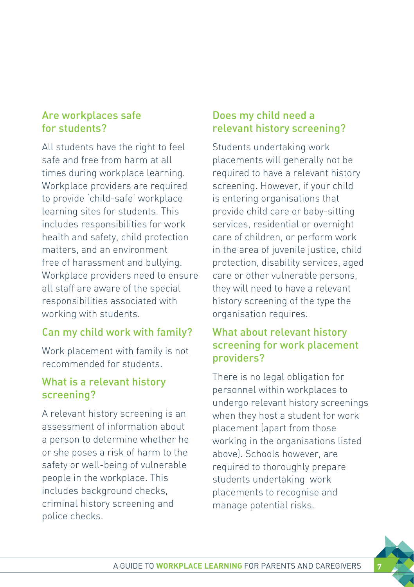#### Are workplaces safe for students?

All students have the right to feel safe and free from harm at all times during workplace learning. Workplace providers are required to provide 'child-safe' workplace learning sites for students. This includes responsibilities for work health and safety, child protection matters, and an environment free of harassment and bullying. Workplace providers need to ensure all staff are aware of the special responsibilities associated with working with students.

#### Can my child work with family?

Work placement with family is not recommended for students.

#### What is a relevant history screening?

A relevant history screening is an assessment of information about a person to determine whether he or she poses a risk of harm to the safety or well-being of vulnerable people in the workplace. This includes background checks, criminal history screening and police checks.

#### Does my child need a relevant history screening?

Students undertaking work placements will generally not be required to have a relevant history screening. However, if your child is entering organisations that provide child care or baby-sitting services, residential or overnight care of children, or perform work in the area of juvenile justice, child protection, disability services, aged care or other vulnerable persons, they will need to have a relevant history screening of the type the organisation requires.

#### What about relevant history screening for work placement providers?

There is no legal obligation for personnel within workplaces to undergo relevant history screenings when they host a student for work placement (apart from those working in the organisations listed above). Schools however, are required to thoroughly prepare students undertaking work placements to recognise and manage potential risks.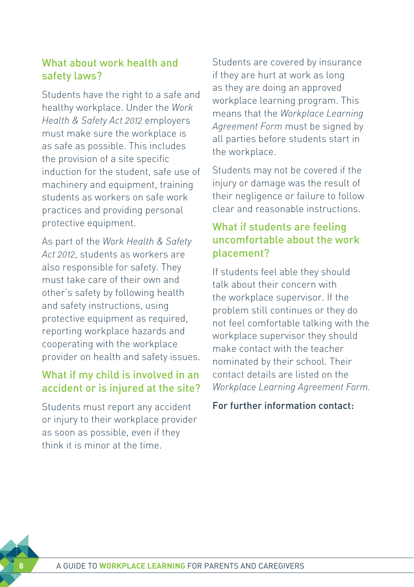#### What about work health and safety laws?

Students have the right to a safe and healthy workplace. Under the *Work Health & Safety Act 2012* employers must make sure the workplace is as safe as possible. This includes the provision of a site specific induction for the student, safe use of machinery and equipment, training students as workers on safe work practices and providing personal protective equipment.

As part of the *Work Health & Safety Act 2012*, students as workers are also responsible for safety. They must take care of their own and other's safety by following health and safety instructions, using protective equipment as required, reporting workplace hazards and cooperating with the workplace provider on health and safety issues.

#### What if my child is involved in an accident or is injured at the site?

Students must report any accident or injury to their workplace provider as soon as possible, even if they think it is minor at the time.

Students are covered by insurance if they are hurt at work as long as they are doing an approved workplace learning program. This means that the *Workplace Learning Agreement Form* must be signed by all parties before students start in the workplace.

Students may not be covered if the injury or damage was the result of their negligence or failure to follow clear and reasonable instructions.

#### What if students are feeling uncomfortable about the work placement?

If students feel able they should talk about their concern with the workplace supervisor. If the problem still continues or they do not feel comfortable talking with the workplace supervisor they should make contact with the teacher nominated by their school. Their contact details are listed on the *Workplace Learning Agreement Form.*

#### For further information contact: